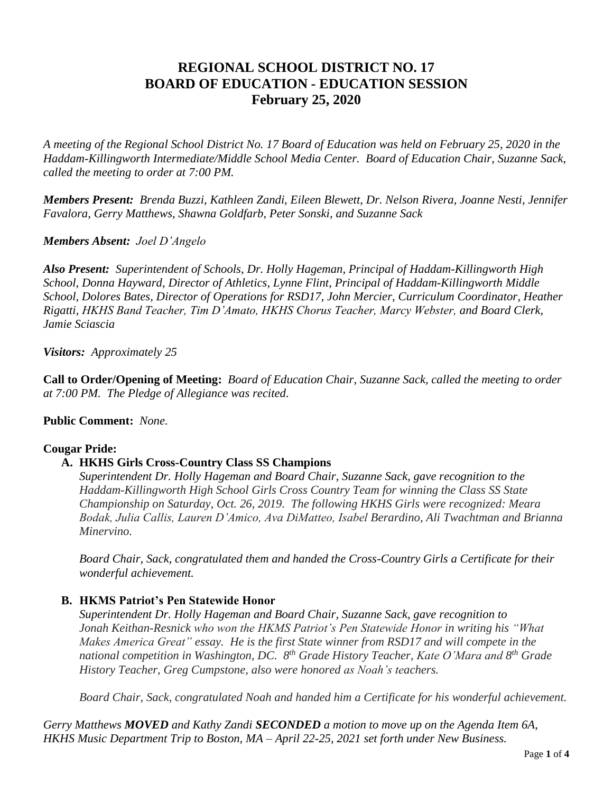# **REGIONAL SCHOOL DISTRICT NO. 17 BOARD OF EDUCATION - EDUCATION SESSION February 25, 2020**

*A meeting of the Regional School District No. 17 Board of Education was held on February 25, 2020 in the Haddam-Killingworth Intermediate/Middle School Media Center. Board of Education Chair, Suzanne Sack, called the meeting to order at 7:00 PM.*

*Members Present: Brenda Buzzi, Kathleen Zandi, Eileen Blewett, Dr. Nelson Rivera, Joanne Nesti, Jennifer Favalora, Gerry Matthews, Shawna Goldfarb, Peter Sonski, and Suzanne Sack*

## *Members Absent: Joel D'Angelo*

*Also Present: Superintendent of Schools, Dr. Holly Hageman, Principal of Haddam-Killingworth High School, Donna Hayward, Director of Athletics, Lynne Flint, Principal of Haddam-Killingworth Middle School, Dolores Bates, Director of Operations for RSD17, John Mercier, Curriculum Coordinator, Heather Rigatti, HKHS Band Teacher, Tim D'Amato, HKHS Chorus Teacher, Marcy Webster, and Board Clerk, Jamie Sciascia*

*Visitors: Approximately 25*

**Call to Order/Opening of Meeting:** *Board of Education Chair, Suzanne Sack, called the meeting to order at 7:00 PM. The Pledge of Allegiance was recited.*

#### **Public Comment:** *None.*

# **Cougar Pride:**

# **A. HKHS Girls Cross-Country Class SS Champions**

*Superintendent Dr. Holly Hageman and Board Chair, Suzanne Sack, gave recognition to the Haddam-Killingworth High School Girls Cross Country Team for winning the Class SS State Championship on Saturday, Oct. 26, 2019. The following HKHS Girls were recognized: Meara Bodak, Julia Callis, Lauren D'Amico, Ava DiMatteo, Isabel Berardino, Ali Twachtman and Brianna Minervino.*

*Board Chair, Sack, congratulated them and handed the Cross-Country Girls a Certificate for their wonderful achievement.*

#### **B. HKMS Patriot's Pen Statewide Honor**

*Superintendent Dr. Holly Hageman and Board Chair, Suzanne Sack, gave recognition to Jonah Keithan-Resnick who won the HKMS Patriot's Pen Statewide Honor in writing his "What Makes America Great" essay. He is the first State winner from RSD17 and will compete in the national competition in Washington, DC. 8 th Grade History Teacher, Kate O'Mara and 8 th Grade History Teacher, Greg Cumpstone, also were honored as Noah's teachers.*

*Board Chair, Sack, congratulated Noah and handed him a Certificate for his wonderful achievement.*

*Gerry Matthews MOVED and Kathy Zandi SECONDED a motion to move up on the Agenda Item 6A, HKHS Music Department Trip to Boston, MA – April 22-25, 2021 set forth under New Business.*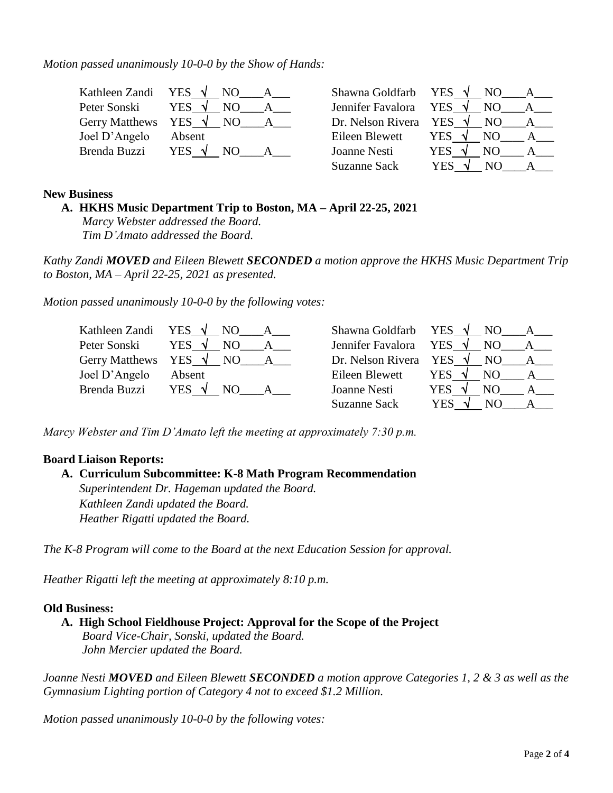*Motion passed unanimously 10-0-0 by the Show of Hands:*

|               | Kathleen Zandi YES $\sqrt{N}$ NO     |                                 | Shawna Goldfarb YES $\sqrt{}$ NO A    |
|---------------|--------------------------------------|---------------------------------|---------------------------------------|
| Peter Sonski  | YES $\sqrt{}$<br>NO.<br>$\mathsf{A}$ | Jennifer Favalora YES $\sqrt{}$ | NO A                                  |
|               | Gerry Matthews YES $\sqrt{}$ NO A    | Dr. Nelson Rivera YES $\sqrt{}$ | NO A                                  |
| Joel D'Angelo | Absent                               | Eileen Blewett                  | YES $\sqrt{ }$<br>NO A                |
| Brenda Buzzi  | YES $\sqrt{ }$<br>NO.                | Joanne Nesti                    | YES $\sqrt{ }$<br>NO.<br>$\mathbf{A}$ |
|               |                                      | <b>Suzanne Sack</b>             | <b>YES</b><br>NO.<br>$\mathbf{A}$     |

## **New Business**

# **A. HKHS Music Department Trip to Boston, MA – April 22-25, 2021**

*Marcy Webster addressed the Board. Tim D'Amato addressed the Board.*

*Kathy Zandi MOVED and Eileen Blewett SECONDED a motion approve the HKHS Music Department Trip to Boston, MA – April 22-25, 2021 as presented.*

*Motion passed unanimously 10-0-0 by the following votes:*

| Kathleen Zandi YES $\sqrt{N}$ NO |                                         | Shawna Goldfarb YES $\sqrt{NO}$ | $A_{-}$                                 |
|----------------------------------|-----------------------------------------|---------------------------------|-----------------------------------------|
| Peter Sonski                     | YES $\sqrt{ }$<br>NO.<br>$\overline{A}$ | Jennifer Favalora YES $\sqrt{}$ | NO<br>$\overline{A}$                    |
|                                  | Gerry Matthews YES $\sqrt{}$ NO A       | Dr. Nelson Rivera YES $\sqrt{}$ | NO A                                    |
| Joel D'Angelo                    | Absent                                  | Eileen Blewett                  | YES $\sqrt{ }$<br>NO.<br>$\overline{A}$ |
| Brenda Buzzi                     | YES $\sqrt{NQ}$                         | Joanne Nesti                    | YES $\sqrt{ }$<br>NO.<br>$\mathbf{A}$   |
|                                  |                                         | <b>Suzanne Sack</b>             | YES<br>NO.<br>$\mathbf{A}$              |

*Marcy Webster and Tim D'Amato left the meeting at approximately 7:30 p.m.*

#### **Board Liaison Reports:**

## **A. Curriculum Subcommittee: K-8 Math Program Recommendation** *Superintendent Dr. Hageman updated the Board. Kathleen Zandi updated the Board.*

*The K-8 Program will come to the Board at the next Education Session for approval.* 

*Heather Rigatti left the meeting at approximately 8:10 p.m.*

*Heather Rigatti updated the Board.*

#### **Old Business:**

**A. High School Fieldhouse Project: Approval for the Scope of the Project** *Board Vice-Chair, Sonski, updated the Board. John Mercier updated the Board.*

*Joanne Nesti MOVED and Eileen Blewett SECONDED a motion approve Categories 1, 2 & 3 as well as the Gymnasium Lighting portion of Category 4 not to exceed \$1.2 Million.*

*Motion passed unanimously 10-0-0 by the following votes:*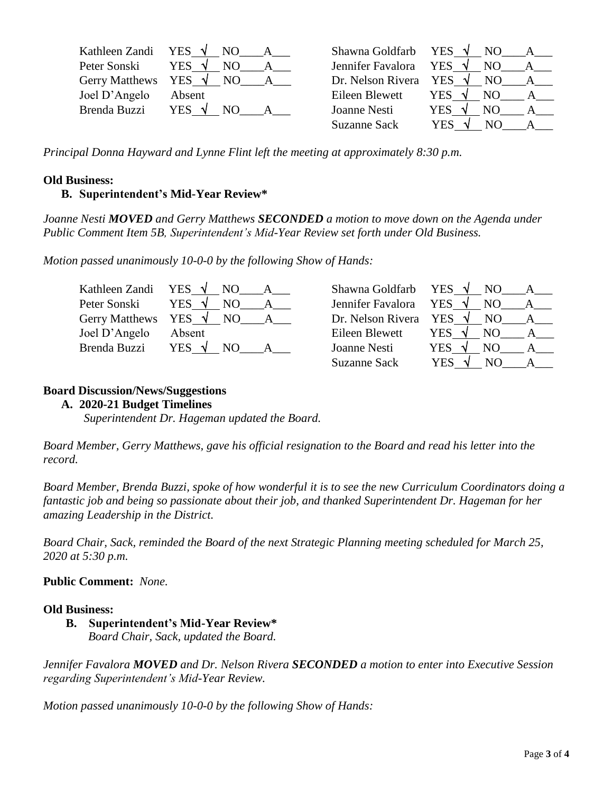| Kathleen Zandi YES $\sqrt{}$ NO | $\cdot$ $\_\ A$                    | Shawna Goldfarb YES $\sqrt{N}$ NO | $\mathsf{A}$        |
|---------------------------------|------------------------------------|-----------------------------------|---------------------|
| Peter Sonski                    | YES $\sqrt{ }$<br>NO.              | Jennifer Favalora YES $\sqrt{}$   | NO                  |
|                                 | Gerry Matthews YES $\sqrt{N}$ NO A | Dr. Nelson Rivera YES $\sqrt{}$   | NO.<br>$\mathbf{A}$ |
| Joel D'Angelo                   | Absent                             | Eileen Blewett                    | <b>YES</b><br>NO.   |
| Brenda Buzzi                    | <b>YES</b><br>NO.                  | Joanne Nesti                      | <b>YES</b><br>NO.   |
|                                 |                                    | <b>Suzanne Sack</b>               | YES<br>NO.          |

*Principal Donna Hayward and Lynne Flint left the meeting at approximately 8:30 p.m.*

#### **Old Business:**

## **B. Superintendent's Mid-Year Review\***

*Joanne Nesti MOVED and Gerry Matthews SECONDED a motion to move down on the Agenda under Public Comment Item 5B, Superintendent's Mid-Year Review set forth under Old Business.*

*Motion passed unanimously 10-0-0 by the following Show of Hands:*

|               | Kathleen Zandi YES $\sqrt{}$ NO A  |                                 | Shawna Goldfarb YES $\sqrt{NQ}$ A         |
|---------------|------------------------------------|---------------------------------|-------------------------------------------|
| Peter Sonski  | YES $\sqrt{}$                      | Jennifer Favalora YES $\sqrt{}$ | NO.                                       |
|               | Gerry Matthews YES $\sqrt{N}$ NO A |                                 | Dr. Nelson Rivera YES $\sqrt{}$ NO A      |
| Joel D'Angelo | Absent                             | Eileen Blewett                  | YES $\sqrt{ }$<br>NO.<br>$A \quad \alpha$ |
| Brenda Buzzi  | YES $\sqrt{ }$<br>NO.              | Joanne Nesti                    | YES $\sqrt{ }$<br>NO.<br>$\mathbf{A}$     |
|               |                                    | <b>Suzanne Sack</b>             | <b>YES</b><br>NO.<br>$\mathbf{A}$         |

#### **Board Discussion/News/Suggestions**

#### **A. 2020-21 Budget Timelines**

 *Superintendent Dr. Hageman updated the Board.*

*Board Member, Gerry Matthews, gave his official resignation to the Board and read his letter into the record.* 

*Board Member, Brenda Buzzi, spoke of how wonderful it is to see the new Curriculum Coordinators doing a fantastic job and being so passionate about their job, and thanked Superintendent Dr. Hageman for her amazing Leadership in the District.*

*Board Chair, Sack, reminded the Board of the next Strategic Planning meeting scheduled for March 25, 2020 at 5:30 p.m.*

**Public Comment:** *None.*

#### **Old Business:**

**B. Superintendent's Mid-Year Review\***

*Board Chair, Sack, updated the Board.*

*Jennifer Favalora MOVED and Dr. Nelson Rivera SECONDED a motion to enter into Executive Session regarding Superintendent's Mid-Year Review.*

*Motion passed unanimously 10-0-0 by the following Show of Hands:*